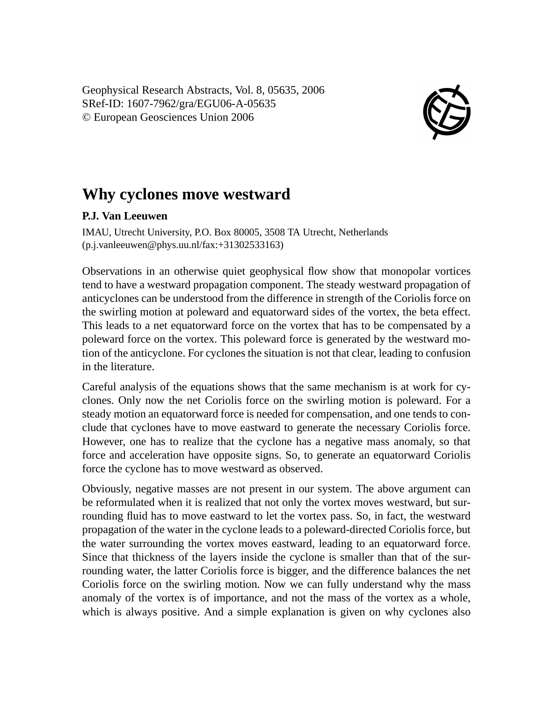Geophysical Research Abstracts, Vol. 8, 05635, 2006 SRef-ID: 1607-7962/gra/EGU06-A-05635 © European Geosciences Union 2006



## **Why cyclones move westward**

## **P.J. Van Leeuwen**

IMAU, Utrecht University, P.O. Box 80005, 3508 TA Utrecht, Netherlands (p.j.vanleeuwen@phys.uu.nl/fax:+31302533163)

Observations in an otherwise quiet geophysical flow show that monopolar vortices tend to have a westward propagation component. The steady westward propagation of anticyclones can be understood from the difference in strength of the Coriolis force on the swirling motion at poleward and equatorward sides of the vortex, the beta effect. This leads to a net equatorward force on the vortex that has to be compensated by a poleward force on the vortex. This poleward force is generated by the westward motion of the anticyclone. For cyclones the situation is not that clear, leading to confusion in the literature.

Careful analysis of the equations shows that the same mechanism is at work for cyclones. Only now the net Coriolis force on the swirling motion is poleward. For a steady motion an equatorward force is needed for compensation, and one tends to conclude that cyclones have to move eastward to generate the necessary Coriolis force. However, one has to realize that the cyclone has a negative mass anomaly, so that force and acceleration have opposite signs. So, to generate an equatorward Coriolis force the cyclone has to move westward as observed.

Obviously, negative masses are not present in our system. The above argument can be reformulated when it is realized that not only the vortex moves westward, but surrounding fluid has to move eastward to let the vortex pass. So, in fact, the westward propagation of the water in the cyclone leads to a poleward-directed Coriolis force, but the water surrounding the vortex moves eastward, leading to an equatorward force. Since that thickness of the layers inside the cyclone is smaller than that of the surrounding water, the latter Coriolis force is bigger, and the difference balances the net Coriolis force on the swirling motion. Now we can fully understand why the mass anomaly of the vortex is of importance, and not the mass of the vortex as a whole, which is always positive. And a simple explanation is given on why cyclones also